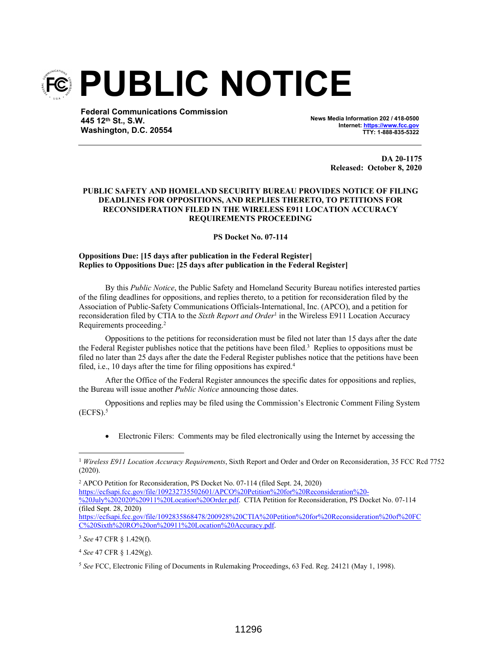

**Federal Communications Commission 445 12th St., S.W. Washington, D.C. 20554**

**News Media Information 202 / 418-0500 Internet: https://www.fcc.gov TTY: 1-888-835-5322**

> **DA 20-1175 Released: October 8, 2020**

## **PUBLIC SAFETY AND HOMELAND SECURITY BUREAU PROVIDES NOTICE OF FILING DEADLINES FOR OPPOSITIONS, AND REPLIES THERETO, TO PETITIONS FOR RECONSIDERATION FILED IN THE WIRELESS E911 LOCATION ACCURACY REQUIREMENTS PROCEEDING**

**PS Docket No. 07-114**

## **Oppositions Due: [15 days after publication in the Federal Register] Replies to Oppositions Due: [25 days after publication in the Federal Register]**

By this *Public Notice*, the Public Safety and Homeland Security Bureau notifies interested parties of the filing deadlines for oppositions, and replies thereto, to a petition for reconsideration filed by the Association of Public-Safety Communications Officials-International, Inc. (APCO), and a petition for reconsideration filed by CTIA to the *Sixth Report and Order*<sup>1</sup> in the Wireless E911 Location Accuracy Requirements proceeding.<sup>2</sup>

Oppositions to the petitions for reconsideration must be filed not later than 15 days after the date the Federal Register publishes notice that the petitions have been filed.<sup>3</sup> Replies to oppositions must be filed no later than 25 days after the date the Federal Register publishes notice that the petitions have been filed, i.e., 10 days after the time for filing oppositions has expired.<sup>4</sup>

After the Office of the Federal Register announces the specific dates for oppositions and replies, the Bureau will issue another *Public Notice* announcing those dates.

Oppositions and replies may be filed using the Commission's Electronic Comment Filing System  $(ECFS).<sup>5</sup>$ 

Electronic Filers: Comments may be filed electronically using the Internet by accessing the

2 APCO Petition for Reconsideration, PS Docket No. 07-114 (filed Sept. 24, 2020) https://ecfsapi.fcc.gov/file/109232735502601/APCO%20Petition%20for%20Reconsideration%20- %20July%202020%20911%20Location%20Order.pdf. CTIA Petition for Reconsideration, PS Docket No. 07-114 (filed Sept. 28, 2020) https://ecfsapi.fcc.gov/file/1092835868478/200928%20CTIA%20Petition%20for%20Reconsideration%20of%20FC C%20Sixth%20RO%20on%20911%20Location%20Accuracy.pdf.

<sup>3</sup> *See* 47 CFR § 1.429(f).

<sup>1</sup> *Wireless E911 Location Accuracy Requirements*, Sixth Report and Order and Order on Reconsideration, 35 FCC Rcd 7752 (2020).

<sup>4</sup> *See* 47 CFR § 1.429(g).

<sup>5</sup> *See* FCC, Electronic Filing of Documents in Rulemaking Proceedings, 63 Fed. Reg. 24121 (May 1, 1998).